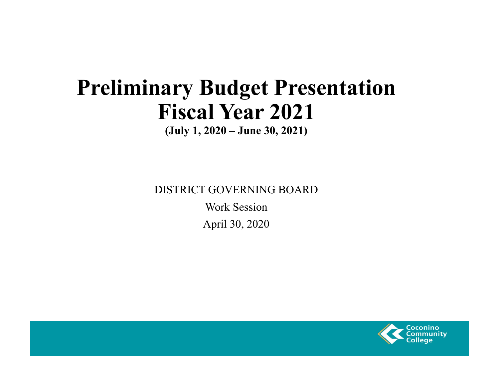## **Preliminary Budget Presentation Fiscal Year 2021**

**(July 1, 2020 – June 30, 2021)**

DISTRICT GOVERNING BOARD

Work SessionApril 30, 2020

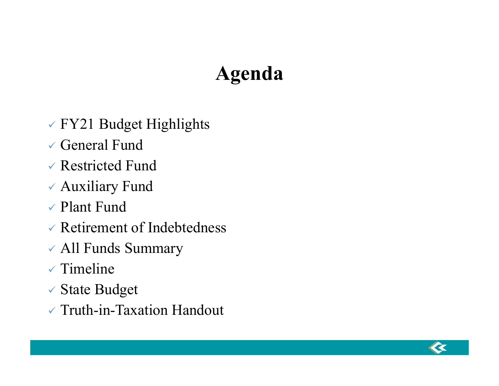## **Agenda**

- FY21 Budget Highlights
- General Fund
- Restricted Fund
- Auxiliary Fund
- Plant Fund
- Retirement of Indebtedness
- All Funds Summary
- $\checkmark$  Timeline
- State Budget
- Truth-in-Taxation Handout

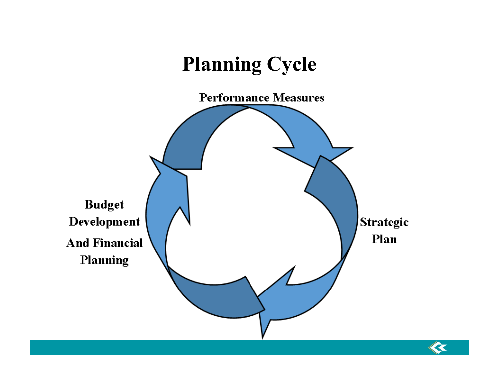

 $\overline{\mathbf{K}}$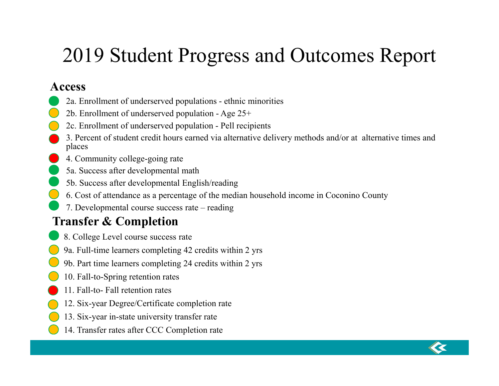## 2019 Student Progress and Outcomes Report

### **Access**

- 2a. Enrollment of underserved populations ethnic minorities
- 2b. Enrollment of underserved population Age 25+
- 2c. Enrollment of underserved population Pell recipients
- 3. Percent of student credit hours earned via alternative delivery methods and/or at alternative times and places
- 4. Community college-going rate
- 5a. Success after developmental math
- 5b. Success after developmental English/reading
- 6. Cost of attendance as a percentage of the median household income in Coconino County
- 7. Developmental course success rate reading

## **Transfer & Completion**

- 8. College Level course success rate
- 9a. Full-time learners completing 42 credits within 2 yrs
- 9b. Part time learners completing 24 credits within 2 yrs
- 10. Fall-to-Spring retention rates
- 11. Fall-to- Fall retention rates
- 12. Six-year Degree/Certificate completion rate
- 13. Six-year in-state university transfer rate
- 14. Transfer rates after CCC Completion rate

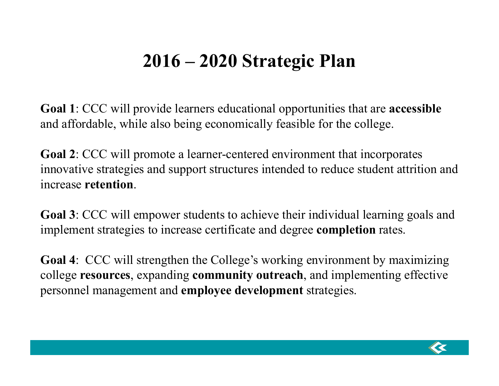## **2016 – 2020 Strategic Plan**

**Goal 1**: CCC will provide learners educational opportunities that are **accessible**  and affordable, while also being economically feasible for the college.

**Goal 2**: CCC will promote a learner-centered environment that incorporates innovative strategies and support structures intended to reduce student attrition and increase **retention**.

**Goal 3**: CCC will empower students to achieve their individual learning goals and implement strategies to increase certificate and degree **completion** rates.

**Goal 4**: CCC will strengthen the College's working environment by maximizing college **resources**, expanding **community outreach**, and implementing effective personnel management and **employee development** strategies.

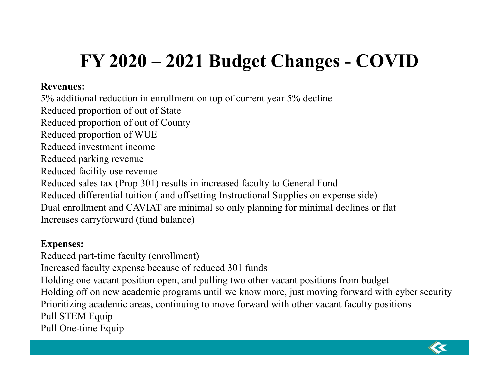## **FY 2020 – 2021 Budget Changes - COVID**

#### **Revenues:**

5% additional reduction in enrollment on top of current year 5% decline Reduced proportion of out of State Reduced proportion of out of County Reduced proportion of WUE Reduced investment incomeReduced parking revenue Reduced facility use revenue Reduced sales tax (Prop 301) results in increased faculty to General Fund Reduced differential tuition ( and offsetting Instructional Supplies on expense side) Dual enrollment and CAVIAT are minimal so only planning for minimal declines or flat Increases carryforward (fund balance)

#### **Expenses:**

Reduced part-time faculty (enrollment) Increased faculty expense because of reduced 301 funds Holding one vacant position open, and pulling two other vacant positions from budget Holding off on new academic programs until we know more, just moving forward with cyber security Prioritizing academic areas, continuing to move forward with other vacant faculty positions Pull STEM Equip Pull One-time Equip

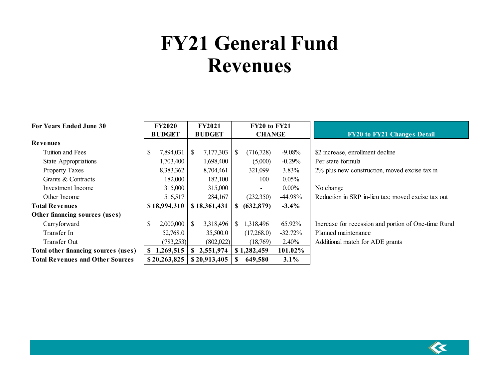## **FY21 General Fund Revenues**

| For Years Ended June 30                 | <b>FY2020</b>   | <b>FY2021</b>             | <b>FY20 to FY21</b>         |           |                                                      |
|-----------------------------------------|-----------------|---------------------------|-----------------------------|-----------|------------------------------------------------------|
|                                         | <b>BUDGET</b>   | <b>BUDGET</b>             | <b>CHANGE</b>               |           | <b>FY20 to FY21 Changes Detail</b>                   |
| Revenues                                |                 |                           |                             |           |                                                      |
| Tuition and Fees                        | \$<br>7,894,031 | 7,177,303<br>S.           | (716, 728)<br><sup>\$</sup> | $-9.08%$  | \$2 increase, enrollment decline                     |
| State Appropriations                    | 1,703,400       | 1,698,400                 | (5,000)                     | $-0.29%$  | Per state formula                                    |
| <b>Property Taxes</b>                   | 8,383,362       | 8,704,461                 | 321,099                     | 3.83%     | 2% plus new construction, moved excise tax in        |
| Grants & Contracts                      | 182,000         | 182,100                   | 100                         | $0.05\%$  |                                                      |
| Investment Income                       | 315,000         | 315,000                   | $\overline{\phantom{a}}$    | $0.00\%$  | No change                                            |
| Other Income                            | 516,517         | 284,167                   | (232,350)                   | $-44.98%$ | Reduction in SRP in-lieu tax; moved excise tax out   |
| <b>Total Revenues</b>                   | \$18,994,310    | \$18,361,431              | (632, 879)<br>-SS           | $-3.4\%$  |                                                      |
| Other financing sources (uses)          |                 |                           |                             |           |                                                      |
| Carryforward                            | \$<br>2,000,000 | 3,318,496<br><sup>S</sup> | 1,318,496<br><sup>S</sup>   | 65.92%    | Increase for recession and portion of One-time Rural |
| Transfer In                             | 52,768.0        | 35,500.0                  | (17,268.0)                  | $-32.72%$ | Planned maintenance                                  |
| <b>Transfer Out</b>                     | (783,253)       | (802,022)                 | (18,769)                    | 2.40%     | Additional match for ADE grants                      |
| Total other financing sources (uses)    | 1,269,515<br>\$ | 2,551,974<br>S.           | \$1,282,459                 | 101.02%   |                                                      |
| <b>Total Revenues and Other Sources</b> | \$20,263,825    | \$20,913,405              | 649,580                     | 3.1%      |                                                      |

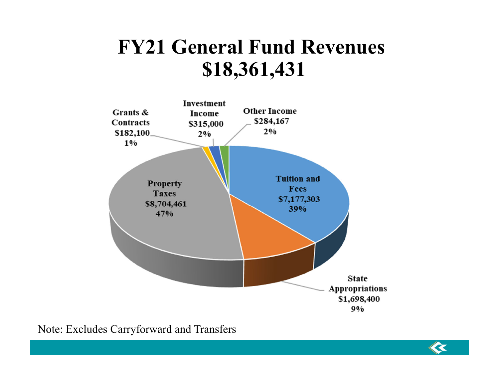## **FY21 General Fund Revenues \$18,361,431**



 $\overline{\mathbf{K}}$ 

Note: Excludes Carryforward and Transfers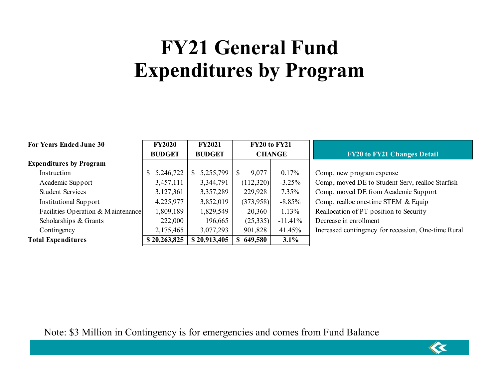## **FY21 General Fund Expenditures by Program**

| <b>For Years Ended June 30</b>     | <b>FY2020</b> | <b>FY2021</b> | <b>FY20 to FY21</b> |            |                                                     |
|------------------------------------|---------------|---------------|---------------------|------------|-----------------------------------------------------|
|                                    | <b>BUDGET</b> | <b>BUDGET</b> | <b>CHANGE</b>       |            | <b>FY20 to FY21 Changes Detail</b>                  |
| <b>Expenditures by Program</b>     |               |               |                     |            |                                                     |
| Instruction                        | 5,246,722     | 5,255,799     | 9,077               | $0.17\%$   | Comp, new program expense                           |
| Academic Support                   | 3,457,111     | 3,344,791     | (112,320)           | $-3.25%$   | Comp, moved DE to Student Serv, realloc Starfish    |
| <b>Student Services</b>            | 3,127,361     | 3,357,289     | 229,928             | $7.35\%$   | Comp, moved DE from Academic Support                |
| <b>Institutional Support</b>       | 4,225,977     | 3,852,019     | (373,958)           | $-8.85%$   | Comp, realloc one-time STEM & Equip                 |
| Facilities Operation & Maintenance | 1,809,189     | 1,829,549     | 20,360              | 1.13%      | Reallocation of PT position to Security             |
| Scholarships & Grants              | 222,000       | 196,665       | (25,335)            | $-11.41\%$ | Decrease in enrollment                              |
| Contingency                        | 2,175,465     | 3,077,293     | 41.45%<br>901,828   |            | Increased contingency for recession, One-time Rural |
| <b>Total Expenditures</b>          | \$20,263,825  | \$20,913,405  | 3.1%<br>649,580     |            |                                                     |

Note: \$3 Million in Contingency is for emergencies and comes from Fund Balance

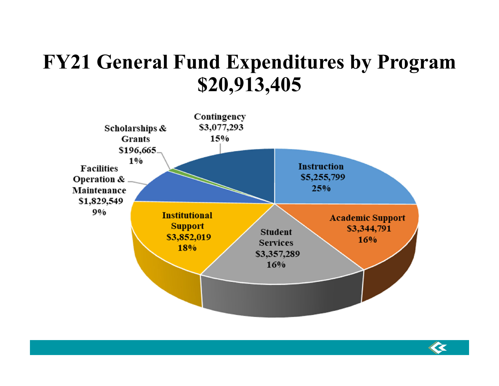## **FY21 General Fund Expenditures by Program \$20,913,405**



 $\ll$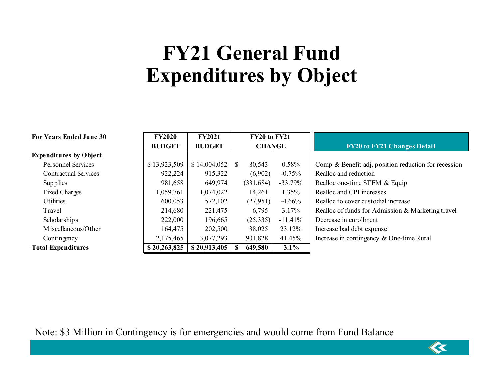## **FY21 General Fund Expenditures by Object**

| <b>For Years Ended June 30</b> | <b>FY2020</b> | <b>FY2021</b> | FY20 to FY21  |            |           |                                                      |
|--------------------------------|---------------|---------------|---------------|------------|-----------|------------------------------------------------------|
|                                | <b>BUDGET</b> | <b>BUDGET</b> | <b>CHANGE</b> |            |           | <b>FY20 to FY21 Changes Detail</b>                   |
| <b>Expenditures by Object</b>  |               |               |               |            |           |                                                      |
| <b>Personnel Services</b>      | \$13,923,509  | \$14,004,052  | \$            | 80,543     | 0.58%     | Comp & Benefit adj, position reduction for recession |
| <b>Contractual Services</b>    | 922,224       | 915,322       |               | (6,902)    | $-0.75%$  | Realloc and reduction                                |
| Supplies                       | 981,658       | 649,974       |               | (331, 684) | $-33.79%$ | Realloc one-time STEM & Equip                        |
| <b>Fixed Charges</b>           | 1,059,761     | 1,074,022     |               | 14,261     | $1.35\%$  | Realloc and CPI increases                            |
| <b>Utilities</b>               | 600,053       | 572,102       |               | (27,951)   | $-4.66%$  | Realloc to cover custodial increase                  |
| Travel                         | 214,680       | 221,475       |               | 6,795      | 3.17%     | Realloc of funds for Admission & Marketing travel    |
| Scholarships                   | 222,000       | 196,665       |               | (25,335)   | $-11.41%$ | Decrease in enrollment                               |
| M iscellaneous/Other           | 164,475       | 202,500       |               | 38,025     | 23.12%    | Increase bad debt expense                            |
| Contingency                    | 2,175,465     | 3,077,293     |               | 901,828    | 41.45%    | Increase in contingency & One-time Rural             |
| <b>Total Expenditures</b>      | \$20,263,825  | \$20,913,405  | S             | 649,580    | 3.1%      |                                                      |

 $\ll$ 

Note: \$3 Million in Contingency is for emergencies and would come from Fund Balance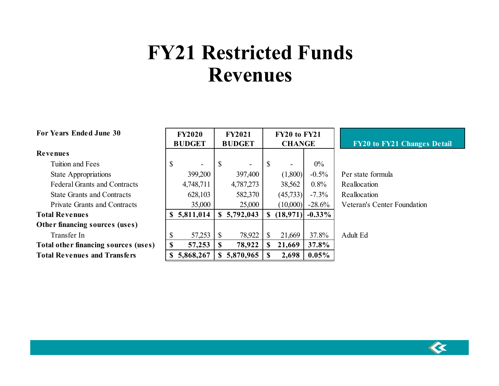## **FY21 Restricted Funds Revenues**

| <b>For Years Ended June 30</b>       |   | <b>FY2020</b><br><b>BUDGET</b> |              | <b>FY2021</b><br><b>BUDGET</b> | <b>FY20 to FY21</b><br><b>CHANGE</b> |           |           | <b>FY20 to FY21 Change</b>         |
|--------------------------------------|---|--------------------------------|--------------|--------------------------------|--------------------------------------|-----------|-----------|------------------------------------|
| <b>Revenues</b>                      |   |                                |              |                                |                                      |           |           |                                    |
| Tuition and Fees                     | S |                                | S            | $\overline{\phantom{a}}$       | -8                                   | ۰         | $0\%$     |                                    |
| State Appropriations                 |   | 399,200                        |              | 397,400                        |                                      | (1,800)   | $-0.5\%$  | Per state formula                  |
| <b>Federal Grants and Contracts</b>  |   | 4,748,711                      |              | 4,787,273                      |                                      | 38,562    | 0.8%      | Reallocation                       |
| <b>State Grants and Contracts</b>    |   | 628,103                        |              | 582,370                        |                                      | (45, 733) | $-7.3\%$  | Reallocation                       |
| Private Grants and Contracts         |   | 35,000                         |              | 25,000                         |                                      | (10,000)  | $-28.6%$  | <b>Veteran's Center Foundation</b> |
| <b>Total Revenues</b>                |   | \$5,811,014                    |              | \$5,792,043                    | <b>S</b>                             | (18, 971) | $-0.33\%$ |                                    |
| Other financing sources (uses)       |   |                                |              |                                |                                      |           |           |                                    |
| Transfer In                          | S | 57,253                         | <sup>S</sup> | 78,922                         | -8                                   | 21,669    | 37.8%     | Adult Ed                           |
| Total other financing sources (uses) | S | 57,253                         | S            | 78,922                         | S                                    | 21,669    | 37.8%     |                                    |
| <b>Total Revenues and Transfers</b>  |   | 5,868,267                      |              | \$5,870,965                    |                                      | 2,698     | $0.05\%$  |                                    |



**S** Detail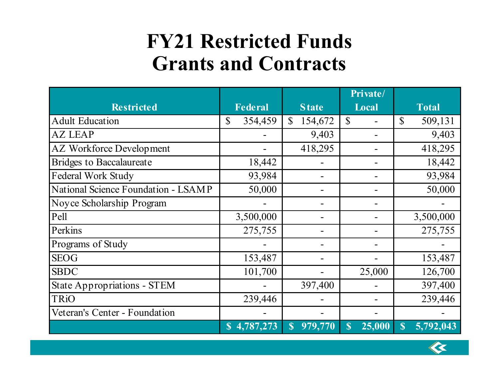## **FY21 Restricted Funds Grants and Contracts**

|                                     |                         |                         | Private/     |                          |
|-------------------------------------|-------------------------|-------------------------|--------------|--------------------------|
| <b>Restricted</b>                   | <b>Federal</b>          | <b>State</b>            | Local        | <b>Total</b>             |
| <b>Adult Education</b>              | 354,459<br>$\mathbb{S}$ | $\mathbb{S}$<br>154,672 | $\mathbb{S}$ | $\mathbb{S}$<br>509,131  |
| <b>AZ LEAP</b>                      |                         | 9,403                   | -            | 9,403                    |
| <b>AZ Workforce Development</b>     |                         | 418,295                 |              | 418,295                  |
| <b>Bridges to Baccalaureate</b>     | 18,442                  |                         |              | 18,442                   |
| Federal Work Study                  | 93,984                  |                         |              | 93,984                   |
| National Science Foundation - LSAMP | 50,000                  |                         |              | 50,000                   |
| Noyce Scholarship Program           |                         |                         |              |                          |
| Pell                                | 3,500,000               |                         |              | 3,500,000                |
| Perkins                             | 275,755                 |                         |              | 275,755                  |
| Programs of Study                   |                         |                         |              |                          |
| <b>SEOG</b>                         | 153,487                 |                         |              | 153,487                  |
| <b>SBDC</b>                         | 101,700                 |                         | 25,000       | 126,700                  |
| <b>State Appropriations - STEM</b>  |                         | 397,400                 |              | 397,400                  |
| <b>TRiO</b>                         | 239,446                 |                         |              | 239,446                  |
| Veteran's Center - Foundation       |                         |                         |              |                          |
|                                     | 4,787,273               | 979,770<br>S            | 25,000<br>S  | 5,792,043<br>$\mathbf S$ |

 $\ell$  Z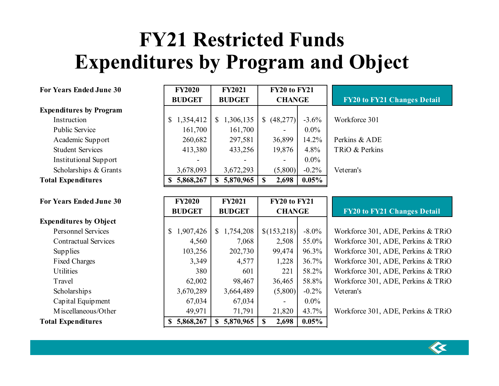## **FY21 Restricted Funds Expenditures by Program and Object**

**FY2021**

#### **For Years Ended June 30 FY2020**

#### **Expenditures by Program**

Public Service Institutional Support **Total Expenditures 5,868,267 \$ 5,870,965 \$ 2,698 \$ 0.05%**

**For Years Ended June 30 FY2020**

| rears Enged June 30          | F YZUZU         | F Y 2021        | F Y ZU TO F Y Z I        |          |                |
|------------------------------|-----------------|-----------------|--------------------------|----------|----------------|
|                              | <b>BUDGET</b>   | <b>BUDGET</b>   | <b>CHANGE</b>            |          | FY20 to FY2    |
| enditures by Program         |                 |                 |                          |          |                |
| Instruction                  | 1,354,412<br>\$ | 1,306,135<br>S  | (48, 277)<br>\$          | $-3.6\%$ | Workforce 301  |
| <b>Public Service</b>        | 161,700         | 161,700         |                          | $0.0\%$  |                |
| Academic Support             | 260,682         | 297,581         | 36,899                   | 14.2%    | Perkins & ADE  |
| <b>Student Services</b>      | 413,380         | 433,256         | 19,876                   | 4.8%     | TRiO & Perkins |
| <b>Institutional Support</b> |                 |                 | $\overline{\phantom{a}}$ | $0.0\%$  |                |
| Scholarships & Grants        | 3,678,093       | 3,672,293       | (5,800)                  | $-0.2\%$ | Veteran's      |
| al Expenditures              | 5,868,267<br>S  | 5,870,965<br>S. | 2,698                    | $0.05\%$ |                |
|                              |                 |                 |                          |          |                |

**FY20 to FY21**

**FY20 to FY21**

# **FY20 to FY21 Changes Detail**

|                               | <b>BUDGET</b> | <b>BUDGET</b>   | <b>CHANGE</b> |          | <b>FY20 to FY21 Changes Detail</b> |
|-------------------------------|---------------|-----------------|---------------|----------|------------------------------------|
| <b>Expenditures by Object</b> |               |                 |               |          |                                    |
| <b>Personnel Services</b>     | \$1,907,426   | 1,754,208<br>\$ | \$(153,218)   | $-8.0\%$ | Workforce 301, ADE, Perkins & TRiO |
| <b>Contractual Services</b>   | 4,560         | 7,068           | 2,508         | 55.0%    | Workforce 301, ADE, Perkins & TRiO |
| Supplies                      | 103,256       | 202,730         | 99,474        | 96.3%    | Workforce 301, ADE, Perkins & TRiO |
| <b>Fixed Charges</b>          | 3,349         | 4,577           | 1,228         | 36.7%    | Workforce 301, ADE, Perkins & TRiO |
| <b>Utilities</b>              | 380           | 601             | 221           | 58.2%    | Workforce 301, ADE, Perkins & TRiO |
| Travel                        | 62,002        | 98,467          | 36,465        | 58.8%    | Workforce 301, ADE, Perkins & TRiO |
| <b>Scholarships</b>           | 3,670,289     | 3,664,489       | (5,800)       | $-0.2\%$ | Veteran's                          |
| Capital Equipment             | 67,034        | 67,034          |               | $0.0\%$  |                                    |
| M iscellaneous/Other          | 49,971        | 71,791          | 21,820        | 43.7%    | Workforce 301, ADE, Perkins & TRiO |
| <b>Total Expenditures</b>     | \$5,868,267   | \$5,870,965     | 2,698         | $0.05\%$ |                                    |

**FY2021**



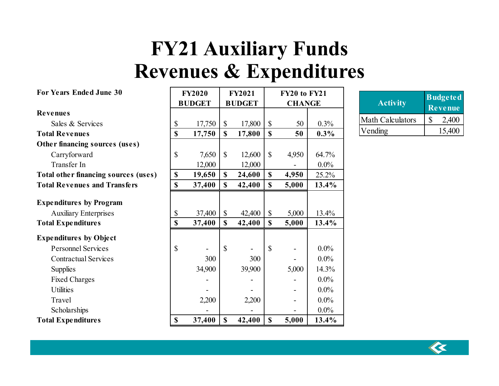## **FY21 Auxiliary Funds Revenues & Expenditures**

| <b>For Years Ended June 30</b>       |               | <b>FY2020</b> |               | <b>FY2021</b> |                           | FY20 to FY21  |         |
|--------------------------------------|---------------|---------------|---------------|---------------|---------------------------|---------------|---------|
|                                      |               | <b>BUDGET</b> |               | <b>BUDGET</b> |                           | <b>CHANGE</b> |         |
| <b>Revenues</b>                      |               |               |               |               |                           |               |         |
| Sales & Services                     | \$            | 17,750        | $\mathcal{S}$ | 17,800        | $\mathcal{S}$             | 50            | $0.3\%$ |
| <b>Total Revenues</b>                | $\mathbf S$   | 17,750        | $\mathbf S$   | 17,800        | \$                        | 50            | $0.3\%$ |
| Other financing sources (uses)       |               |               |               |               |                           |               |         |
| Carryforward                         | $\mathcal{S}$ | 7,650         | $\mathbb{S}$  | 12,600        | $\mathcal{S}$             | 4,950         | 64.7%   |
| Transfer In                          |               | 12,000        |               | 12,000        |                           |               | $0.0\%$ |
| Total other financing sources (uses) | \$            | 19,650        | $\mathbf S$   | 24,600        | \$                        | 4,950         | 25.2%   |
| <b>Total Revenues and Transfers</b>  | $\mathbf S$   | 37,400        | $\mathbf S$   | 42,400        | $\mathbf S$               | 5,000         | 13.4%   |
| <b>Expenditures by Program</b>       |               |               |               |               |                           |               |         |
| <b>Auxiliary Enterprises</b>         | \$            | 37,400        | $\mathcal{S}$ | 42,400        | $\mathcal{S}$             | 5,000         | 13.4%   |
| <b>Total Expenditures</b>            | $\mathbf S$   | 37,400        | $\mathbf S$   | 42,400        | $\mathbf S$               | 5,000         | 13.4%   |
| <b>Expenditures by Object</b>        |               |               |               |               |                           |               |         |
| <b>Personnel Services</b>            | $\mathcal{S}$ |               | $\mathbb{S}$  |               | $\boldsymbol{\mathsf{S}}$ |               | $0.0\%$ |
| <b>Contractual Services</b>          |               | 300           |               | 300           |                           |               | $0.0\%$ |
| <b>Supplies</b>                      |               | 34,900        |               | 39,900        |                           | 5,000         | 14.3%   |
| <b>Fixed Charges</b>                 |               |               |               |               |                           |               | $0.0\%$ |
| <b>Utilities</b>                     |               |               |               |               |                           |               | $0.0\%$ |
| Travel                               |               | 2,200         |               | 2,200         |                           |               | $0.0\%$ |
| Scholarships                         |               |               |               |               |                           |               | $0.0\%$ |
| <b>Total Expenditures</b>            | \$            | 37,400        | $\mathbf S$   | 42,400        | \$                        | 5,000         | 13.4%   |

| <b>Activity</b>         | <b>Budgeted</b><br><b>Revenue</b> |
|-------------------------|-----------------------------------|
| <b>Math Calculators</b> | 2,400                             |
| Vending                 | 15,400                            |

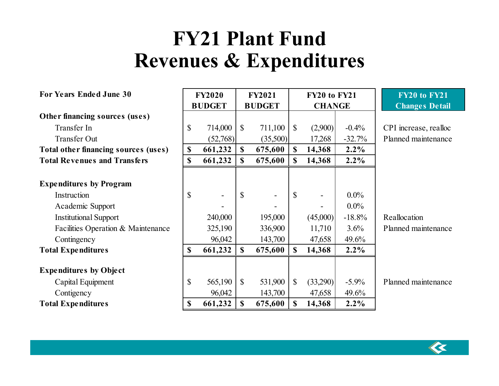## **FY21 Plant Fund Revenues & Expenditures**

| <b>For Years Ended June 30</b>                | <b>FY2020</b><br><b>BUDGET</b> |          | <b>FY2021</b><br><b>BUDGET</b> |                          | <b>FY20 to FY21</b><br><b>CHANGE</b> |                          |          | FY20 to FY21<br><b>Changes Detail</b> |
|-----------------------------------------------|--------------------------------|----------|--------------------------------|--------------------------|--------------------------------------|--------------------------|----------|---------------------------------------|
| Other financing sources (uses)                |                                |          |                                |                          |                                      |                          |          |                                       |
| Transfer In                                   | \$                             | 714,000  | $\mathbb{S}$                   | 711,100                  | $\mathbb{S}$                         | (2,900)                  | $-0.4%$  | CPI increase, realloc                 |
| <b>Transfer Out</b>                           |                                | (52,768) |                                | (35,500)                 |                                      | 17,268                   | $-32.7%$ | Planned maintenance                   |
| Total other financing sources (uses)          | \$                             | 661,232  | $\mathbf{s}$                   | 675,600                  | $\mathbf S$                          | 14,368                   | $2.2\%$  |                                       |
| <b>Total Revenues and Transfers</b>           | \$                             | 661,232  | $\mathbf S$                    | 675,600                  | $\mathbf S$                          | 14,368                   | $2.2\%$  |                                       |
| <b>Expenditures by Program</b><br>Instruction | \$                             |          | $\mathcal{S}$                  | $\overline{\phantom{a}}$ | $\mathbb{S}$                         | $\overline{\phantom{a}}$ | $0.0\%$  |                                       |
| Academic Support                              |                                |          |                                |                          |                                      |                          | $0.0\%$  |                                       |
| <b>Institutional Support</b>                  |                                | 240,000  |                                | 195,000                  |                                      | (45,000)                 | $-18.8%$ | Reallocation                          |
| Facilities Operation & Maintenance            |                                | 325,190  |                                | 336,900                  |                                      | 11,710                   | 3.6%     | Planned maintenance                   |
| Contingency                                   |                                | 96,042   |                                | 143,700                  |                                      | 47,658                   | 49.6%    |                                       |
| <b>Total Expenditures</b>                     | \$                             | 661,232  | $\mathbf S$                    | 675,600                  | $\mathbf S$                          | 14,368                   | $2.2\%$  |                                       |
| <b>Expenditures by Object</b>                 |                                |          |                                |                          |                                      |                          |          |                                       |
| Capital Equipment                             | \$                             | 565,190  | $\mathbb{S}$                   | 531,900                  | $\mathcal{S}$                        | (33,290)                 | $-5.9\%$ | Planned maintenance                   |
| Contigency                                    |                                | 96,042   |                                | 143,700                  |                                      | 47,658                   | 49.6%    |                                       |
| <b>Total Expenditures</b>                     | \$                             | 661,232  | $\mathbf S$                    | 675,600                  | $\mathbf S$                          | 14,368                   | $2.2\%$  |                                       |

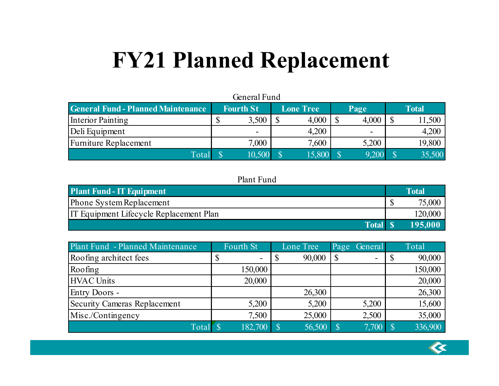# **FY21 Planned Replacement**

| General Fund                              |                  |                  |       |              |  |  |  |  |  |  |  |  |  |
|-------------------------------------------|------------------|------------------|-------|--------------|--|--|--|--|--|--|--|--|--|
| <b>General Fund - Planned Maintenance</b> | <b>Fourth St</b> | <b>Lone Tree</b> | Page  | <b>Total</b> |  |  |  |  |  |  |  |  |  |
| Interior Painting                         |                  | 4,000<br>3,500   | 4,000 | 1,500        |  |  |  |  |  |  |  |  |  |
| Deli Equipment                            | -                | 4,200            |       | 4,200        |  |  |  |  |  |  |  |  |  |
| Furniture Replacement                     |                  | 7,600<br>7,000   | 5,200 | 19,800       |  |  |  |  |  |  |  |  |  |
| Total                                     |                  | 15,800<br>10,500 | 9,200 | 35,500       |  |  |  |  |  |  |  |  |  |

#### Plant Fund

| <b>Plant Fund - IT Equipment</b>        | Total   |
|-----------------------------------------|---------|
| Phone System Replacement                | 75,000  |
| IT Equipment Lifecycle Replacement Plan | 120,000 |
| <b>Total</b>                            | 195.00  |

| Plant Fund - Planned Maintenance | Fourth St | Lone Tree | General<br>Page          | Total   |
|----------------------------------|-----------|-----------|--------------------------|---------|
| Roofing architect fees           | ۰         | 90,000    | $\overline{\phantom{a}}$ | 90,000  |
| Roofing                          | 150,000   |           |                          | 150,000 |
| HVAC Units                       | 20,000    |           |                          | 20,000  |
| Entry Doors -                    |           | 26,300    |                          | 26,300  |
| Security Cameras Replacement     | 5,200     | 5,200     | 5,200                    | 15,600  |
| Misc./Contingency                | 7,500     | 25,000    | 2,500                    | 35,000  |
| Total                            | 182,700   | 56,500    | 7,700                    | 336,900 |

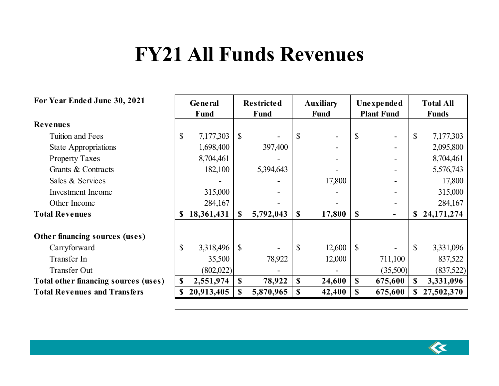## **FY21 All Funds Revenues**

**Restricted**

#### **For Year Ended June 30, 2021**

| For Year Ended June 30, 2021         |              | General    |               | <b>Restricted</b>        |              | <b>Auxiliary</b>         |              | Unexpended               |               | <b>Total All</b> |
|--------------------------------------|--------------|------------|---------------|--------------------------|--------------|--------------------------|--------------|--------------------------|---------------|------------------|
|                                      |              | Fund       |               | Fund                     |              | <b>Fund</b>              |              | <b>Plant Fund</b>        |               | <b>Funds</b>     |
| <b>Revenues</b>                      |              |            |               |                          |              |                          |              |                          |               |                  |
| Tuition and Fees                     | $\mathbb{S}$ | 7,177,303  | $\mathbb{S}$  |                          | S            | $\overline{\phantom{a}}$ | $\mathbb{S}$ | $\overline{\phantom{0}}$ | $\mathcal{S}$ | 7,177,303        |
| <b>State Appropriations</b>          |              | 1,698,400  |               | 397,400                  |              | -                        |              |                          |               | 2,095,800        |
| <b>Property Taxes</b>                |              | 8,704,461  |               |                          |              | $\overline{\phantom{a}}$ |              |                          |               | 8,704,461        |
| Grants & Contracts                   |              | 182,100    |               | 5,394,643                |              |                          |              |                          |               | 5,576,743        |
| Sales & Services                     |              |            |               |                          |              | 17,800                   |              |                          |               | 17,800           |
| <b>Investment Income</b>             |              | 315,000    |               |                          |              |                          |              |                          |               | 315,000          |
| Other Income                         |              | 284,167    |               |                          |              |                          |              |                          |               | 284,167          |
| <b>Total Revenues</b>                | <b>S</b>     | 18,361,431 | $\mathbf S$   | 5,792,043                | \$           | 17,800                   | $\mathbf S$  | ۰.                       |               | \$24,171,274     |
| Other financing sources (uses)       |              |            |               |                          |              |                          |              |                          |               |                  |
| Carryforward                         | $\mathbb{S}$ | 3,318,496  | $\mathbb{S}$  | $\overline{\phantom{a}}$ | $\mathbb{S}$ | 12,600                   | $\mathbb{S}$ |                          | $\mathbb{S}$  | 3,331,096        |
| Transfer In                          |              | 35,500     |               | 78,922                   |              | 12,000                   |              | 711,100                  |               | 837,522          |
| <b>Transfer Out</b>                  |              | (802,022)  |               |                          |              |                          |              | (35,500)                 |               | (837,522)        |
| Total other financing sources (uses) | $\mathbf{s}$ | 2,551,974  | $\mathbf{\$}$ | 78,922                   | $\mathbf S$  | 24,600                   | $\mathbf S$  | 675,600                  | $\mathbf{\$}$ | 3,331,096        |
| <b>Total Revenues and Transfers</b>  |              | 20,913,405 | S             | 5,870,965                | $\mathbf S$  | 42,400                   | $\mathbf S$  | 675,600                  |               | \$27,502,370     |

 $\overline{\mathbf{K}}$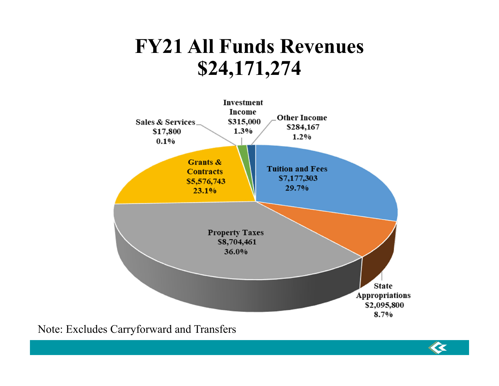## **FY21 All Funds Revenues \$24,171,274**



 $\overline{\mathbf{K}}$ 

Note: Excludes Carryforward and Transfers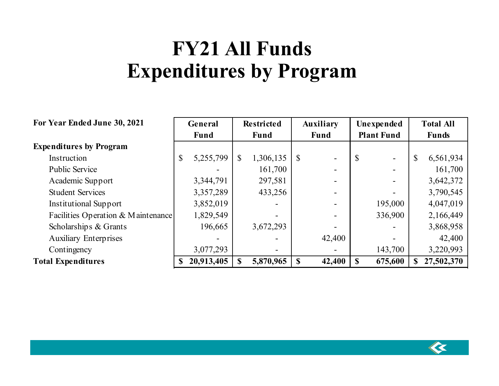## **FY21 All Funds Expenditures by Program**

| For Year Ended June 30, 2021       | General |             | <b>Restricted</b> |             | <b>Auxiliary</b> |             | Unexpended        |         | <b>Total All</b> |            |
|------------------------------------|---------|-------------|-------------------|-------------|------------------|-------------|-------------------|---------|------------------|------------|
|                                    |         | <b>Fund</b> |                   | <b>Fund</b> |                  | <b>Fund</b> | <b>Plant Fund</b> |         | <b>Funds</b>     |            |
| <b>Expenditures by Program</b>     |         |             |                   |             |                  |             |                   |         |                  |            |
| Instruction                        | \$      | 5,255,799   | $\mathbb{S}$      | 1,306,135   | -S               |             |                   |         | \$               | 6,561,934  |
| <b>Public Service</b>              |         |             |                   | 161,700     |                  |             |                   |         |                  | 161,700    |
| Academic Support                   |         | 3,344,791   |                   | 297,581     |                  |             |                   |         |                  | 3,642,372  |
| <b>Student Services</b>            |         | 3,357,289   |                   | 433,256     |                  |             |                   |         |                  | 3,790,545  |
| <b>Institutional Support</b>       |         | 3,852,019   |                   |             |                  |             |                   | 195,000 |                  | 4,047,019  |
| Facilities Operation & Maintenance |         | 1,829,549   |                   |             |                  |             |                   | 336,900 |                  | 2,166,449  |
| Scholarships & Grants              |         | 196,665     |                   | 3,672,293   |                  |             |                   |         |                  | 3,868,958  |
| <b>Auxiliary Enterprises</b>       |         |             |                   |             |                  | 42,400      |                   |         |                  | 42,400     |
| Contingency                        |         | 3,077,293   |                   |             |                  |             |                   | 143,700 |                  | 3,220,993  |
| <b>Total Expenditures</b>          |         | 20,913,405  |                   | 5,870,965   | <sup>S</sup>     | 42,400      | <sup>S</sup>      | 675,600 | \$               | 27,502,370 |

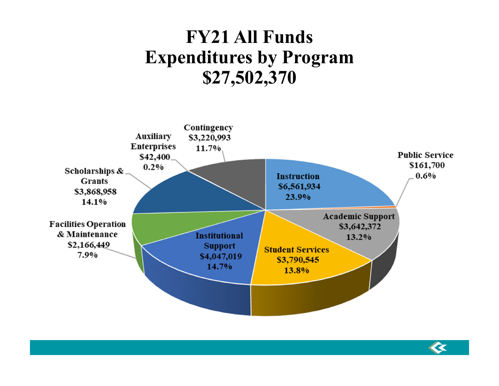## **FY21 All Funds Expenditures by Program \$27,502,370**



 $\ll$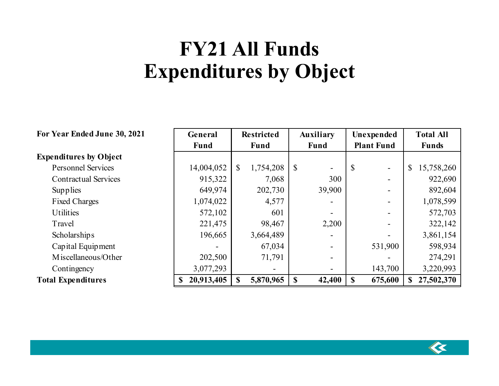## **FY21 All Funds Expenditures by Object**

| For Year Ended June 30, 2021  | General     | <b>Restricted</b> | <b>Auxiliary</b>                                      | Unexpended                               | <b>Total All</b> |  |
|-------------------------------|-------------|-------------------|-------------------------------------------------------|------------------------------------------|------------------|--|
|                               | <b>Fund</b> | <b>Fund</b>       | <b>Fund</b>                                           | <b>Plant Fund</b>                        | <b>Funds</b>     |  |
| <b>Expenditures by Object</b> |             |                   |                                                       |                                          |                  |  |
| <b>Personnel Services</b>     | 14,004,052  | 1,754,208<br>\$   | $\boldsymbol{\mathsf{S}}$<br>$\overline{\phantom{a}}$ | <sup>S</sup><br>$\overline{\phantom{0}}$ | 15,758,260<br>\$ |  |
| <b>Contractual Services</b>   | 915,322     | 7,068             | 300                                                   | $\overline{\phantom{0}}$                 | 922,690          |  |
| Supplies                      | 649,974     | 202,730           | 39,900                                                |                                          | 892,604          |  |
| <b>Fixed Charges</b>          | 1,074,022   | 4,577             |                                                       | $\overline{\phantom{a}}$                 | 1,078,599        |  |
| <b>Utilities</b>              | 572,102     | 601               |                                                       | $\overline{\phantom{a}}$                 | 572,703          |  |
| Travel                        | 221,475     | 98,467            | 2,200                                                 |                                          | 322,142          |  |
| <b>Scholarships</b>           | 196,665     | 3,664,489         |                                                       |                                          | 3,861,154        |  |
| Capital Equipment             |             | 67,034            |                                                       | 531,900                                  | 598,934          |  |
| M iscellaneous/Other          | 202,500     | 71,791            | $\overline{\phantom{a}}$                              |                                          | 274,291          |  |
| Contingency                   | 3,077,293   |                   |                                                       | 143,700                                  | 3,220,993        |  |
| <b>Total Expenditures</b>     | 20,913,405  | 5,870,965         | $\mathbf S$<br>42,400                                 | S<br>675,600                             | 27,502,370<br>\$ |  |

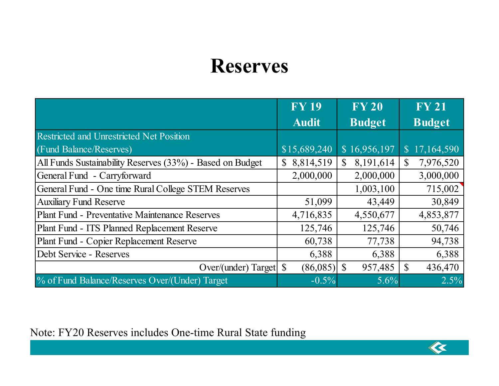## **Reserves**

|                                                           | <b>FY 19</b> | <b>FY 20</b>             | <b>FY 21</b>    |
|-----------------------------------------------------------|--------------|--------------------------|-----------------|
|                                                           | <b>Audit</b> | <b>Budget</b>            | <b>Budget</b>   |
| Restricted and Unrestricted Net Position                  |              |                          |                 |
| (Fund Balance/Reserves)                                   | \$15,689,240 | \$16,956,197             | \$17,164,590    |
| All Funds Sustainability Reserves (33%) - Based on Budget | 8,814,519    | 8,191,614<br>\$          | 7,976,520<br>\$ |
| General Fund - Carryforward                               | 2,000,000    | 2,000,000                | 3,000,000       |
| General Fund - One time Rural College STEM Reserves       |              | 1,003,100                | 715,002         |
| <b>Auxiliary Fund Reserve</b>                             | 51,099       | 43,449                   | 30,849          |
| <b>Plant Fund - Preventative Maintenance Reserves</b>     | 4,716,835    | 4,550,677                | 4,853,877       |
| Plant Fund - ITS Planned Replacement Reserve              | 125,746      | 125,746                  | 50,746          |
| Plant Fund - Copier Replacement Reserve                   | 60,738       | 77,738                   | 94,738          |
| Debt Service - Reserves                                   | 6,388        | 6,388                    | 6,388           |
| Over/(under) Target $\$                                   | (86,085)     | $\mathcal{S}$<br>957,485 | 436,470         |
| % of Fund Balance/Reserves Over/(Under) Target            | $-0.5\%$     | 5.6%                     | 2.5%            |

 $\left\langle \mathbf{\hat{K}}\right\rangle$ 

Note: FY20 Reserves includes One-time Rural State funding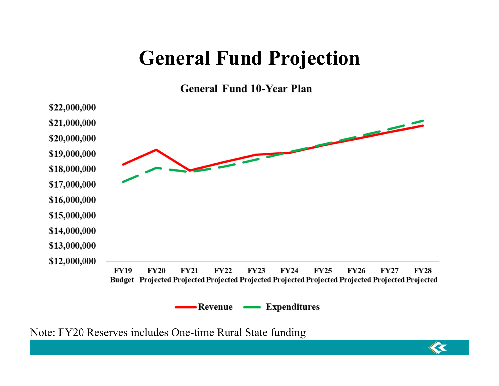## **General Fund Projection**

**General Fund 10-Year Plan** 



 $\overline{\mathbf{K}}$ 

Note: FY20 Reserves includes One-time Rural State funding